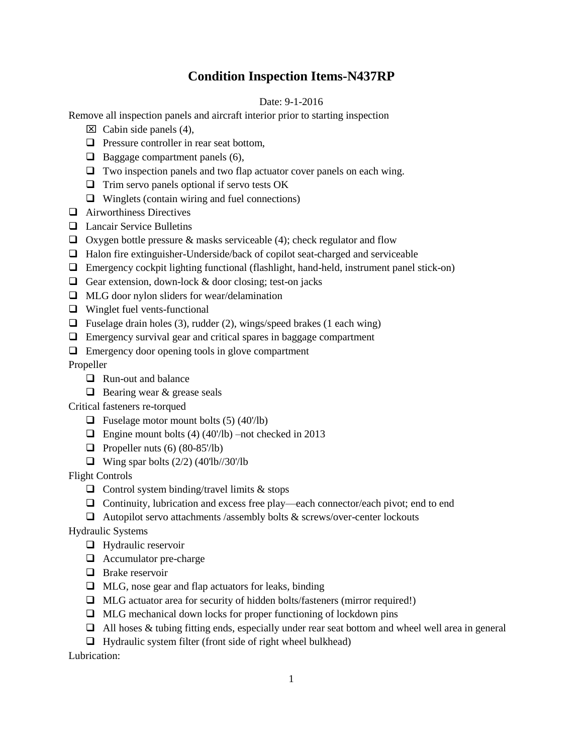## **Condition Inspection Items-N437RP**

## Date: 9-1-2016

Remove all inspection panels and aircraft interior prior to starting inspection

- $\boxtimes$  Cabin side panels (4),
- $\Box$  Pressure controller in rear seat bottom.
- $\Box$  Baggage compartment panels (6),
- $\Box$  Two inspection panels and two flap actuator cover panels on each wing.
- $\Box$  Trim servo panels optional if servo tests OK
- $\Box$  Winglets (contain wiring and fuel connections)
- **Q** Airworthiness Directives
- **Lancair Service Bulletins**
- $\Box$  Oxygen bottle pressure & masks serviceable (4); check regulator and flow
- $\Box$  Halon fire extinguisher-Underside/back of copilot seat-charged and serviceable
- Emergency cockpit lighting functional (flashlight, hand-held, instrument panel stick-on)
- Gear extension, down-lock  $&$  door closing; test-on jacks
- $\Box$  MLG door nylon sliders for wear/delamination
- □ Winglet fuel vents-functional
- $\Box$  Fuselage drain holes (3), rudder (2), wings/speed brakes (1 each wing)
- Emergency survival gear and critical spares in baggage compartment
- $\Box$  Emergency door opening tools in glove compartment

Propeller

- **Q** Run-out and balance
- $\Box$  Bearing wear & grease seals

Critical fasteners re-torqued

- $\Box$  Fuselage motor mount bolts (5) (40'/lb)
- $\Box$  Engine mount bolts (4) (40'/lb) –not checked in 2013
- $\Box$  Propeller nuts (6) (80-85'/lb)
- $\Box$  Wing spar bolts (2/2) (40'lb//30'/lb

Flight Controls

- $\Box$  Control system binding/travel limits & stops
- $\Box$  Continuity, lubrication and excess free play—each connector/each pivot; end to end
- Autopilot servo attachments /assembly bolts & screws/over-center lockouts

Hydraulic Systems

- **Hydraulic reservoir**
- □ Accumulator pre-charge
- $\Box$  Brake reservoir
- $\Box$  MLG, nose gear and flap actuators for leaks, binding
- MLG actuator area for security of hidden bolts/fasteners (mirror required!)
- $\Box$  MLG mechanical down locks for proper functioning of lockdown pins
- $\Box$  All hoses & tubing fitting ends, especially under rear seat bottom and wheel well area in general
- $\Box$  Hydraulic system filter (front side of right wheel bulkhead)

Lubrication: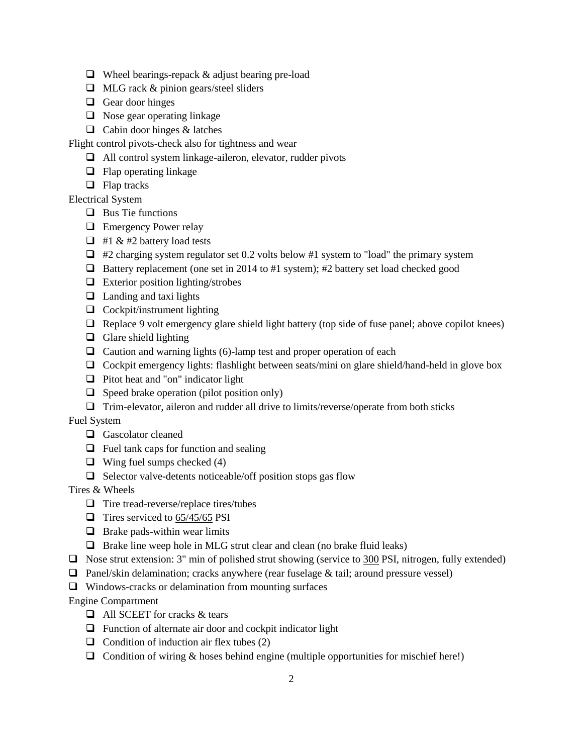- $\Box$  Wheel bearings-repack & adjust bearing pre-load
- $\Box$  MLG rack & pinion gears/steel sliders
- Gear door hinges
- $\Box$  Nose gear operating linkage
- $\Box$  Cabin door hinges & latches

Flight control pivots-check also for tightness and wear

- $\Box$  All control system linkage-aileron, elevator, rudder pivots
- $\Box$  Flap operating linkage
- $\Box$  Flap tracks

Electrical System

- $\Box$  Bus Tie functions
- **Exercise** Power relay
- $\Box$  #1 & #2 battery load tests
- $\Box$  #2 charging system regulator set 0.2 volts below #1 system to "load" the primary system
- $\Box$  Battery replacement (one set in 2014 to #1 system); #2 battery set load checked good
- $\Box$  Exterior position lighting/strobes
- $\Box$  Landing and taxi lights
- $\Box$  Cockpit/instrument lighting
- $\Box$  Replace 9 volt emergency glare shield light battery (top side of fuse panel; above copilot knees)
- $\Box$  Glare shield lighting
- $\Box$  Caution and warning lights (6)-lamp test and proper operation of each
- Cockpit emergency lights: flashlight between seats/mini on glare shield/hand-held in glove box
- $\Box$  Pitot heat and "on" indicator light
- $\Box$  Speed brake operation (pilot position only)
- $\Box$  Trim-elevator, aileron and rudder all drive to limits/reverse/operate from both sticks

Fuel System

- Gascolator cleaned
- $\Box$  Fuel tank caps for function and sealing
- $\Box$  Wing fuel sumps checked (4)
- $\Box$  Selector valve-detents noticeable/off position stops gas flow

Tires & Wheels

- $\Box$  Tire tread-reverse/replace tires/tubes
- $\Box$  Tires serviced to 65/45/65 PSI
- $\Box$  Brake pads-within wear limits
- $\Box$  Brake line weep hole in MLG strut clear and clean (no brake fluid leaks)
- $\Box$  Nose strut extension: 3" min of polished strut showing (service to 300 PSI, nitrogen, fully extended)
- **Panel/skin delamination; cracks anywhere (rear fuselage & tail; around pressure vessel)**
- $\Box$  Windows-cracks or delamination from mounting surfaces

Engine Compartment

- □ All SCEET for cracks & tears
- $\Box$  Function of alternate air door and cockpit indicator light
- $\Box$  Condition of induction air flex tubes (2)
- $\Box$  Condition of wiring & hoses behind engine (multiple opportunities for mischief here!)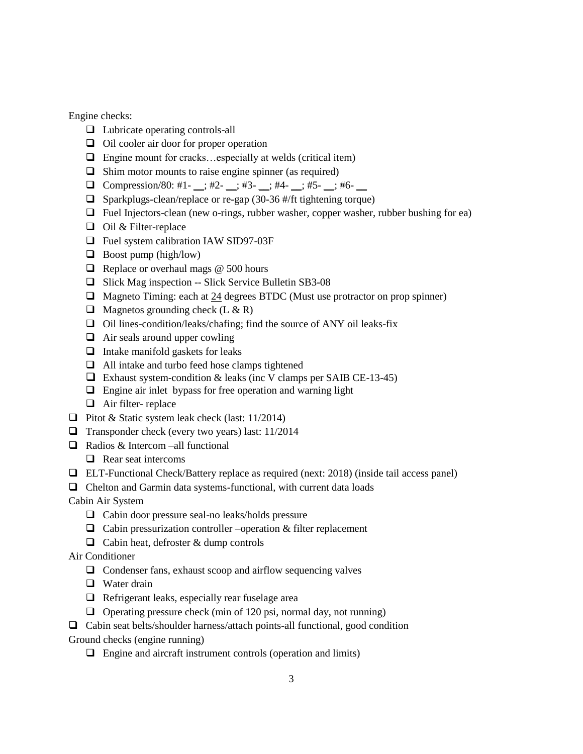Engine checks:

- □ Lubricate operating controls-all
- $\Box$  Oil cooler air door for proper operation
- $\Box$  Engine mount for cracks...especially at welds (critical item)
- $\Box$  Shim motor mounts to raise engine spinner (as required)
- **O** Compression/80: #1- \_; #2- \_; #3- \_; #4- \_; #5- \_; #6- \_
- $\Box$  Sparkplugs-clean/replace or re-gap (30-36 #/ft tightening torque)
- $\Box$  Fuel Injectors-clean (new o-rings, rubber washer, copper washer, rubber bushing for ea)
- $\Box$  Oil & Filter-replace
- □ Fuel system calibration IAW SID97-03F
- $\Box$  Boost pump (high/low)
- $\Box$  Replace or overhaul mags @ 500 hours
- □ Slick Mag inspection -- Slick Service Bulletin SB3-08
- $\Box$  Magneto Timing: each at 24 degrees BTDC (Must use protractor on prop spinner)
- $\Box$  Magnetos grounding check (L & R)
- $\Box$  Oil lines-condition/leaks/chafing; find the source of ANY oil leaks-fix
- $\Box$  Air seals around upper cowling
- $\Box$  Intake manifold gaskets for leaks
- All intake and turbo feed hose clamps tightened
- $\Box$  Exhaust system-condition & leaks (inc V clamps per SAIB CE-13-45)
- $\Box$  Engine air inlet bypass for free operation and warning light
- $\Box$  Air filter- replace
- **D** Pitot & Static system leak check (last:  $11/2014$ )
- $\Box$  Transponder check (every two years) last: 11/2014
- Radios & Intercom –all functional
	- $\Box$  Rear seat intercoms
- ELT-Functional Check/Battery replace as required (next: 2018) (inside tail access panel)
- $\Box$  Chelton and Garmin data systems-functional, with current data loads
- Cabin Air System
	- $\Box$  Cabin door pressure seal-no leaks/holds pressure
	- $\Box$  Cabin pressurization controller –operation & filter replacement
	- $\Box$  Cabin heat, defroster & dump controls
- Air Conditioner
	- $\Box$  Condenser fans, exhaust scoop and airflow sequencing valves
	- **U** Water drain
	- $\Box$  Refrigerant leaks, especially rear fuselage area
	- $\Box$  Operating pressure check (min of 120 psi, normal day, not running)
- $\Box$  Cabin seat belts/shoulder harness/attach points-all functional, good condition
- Ground checks (engine running)
	- $\Box$  Engine and aircraft instrument controls (operation and limits)